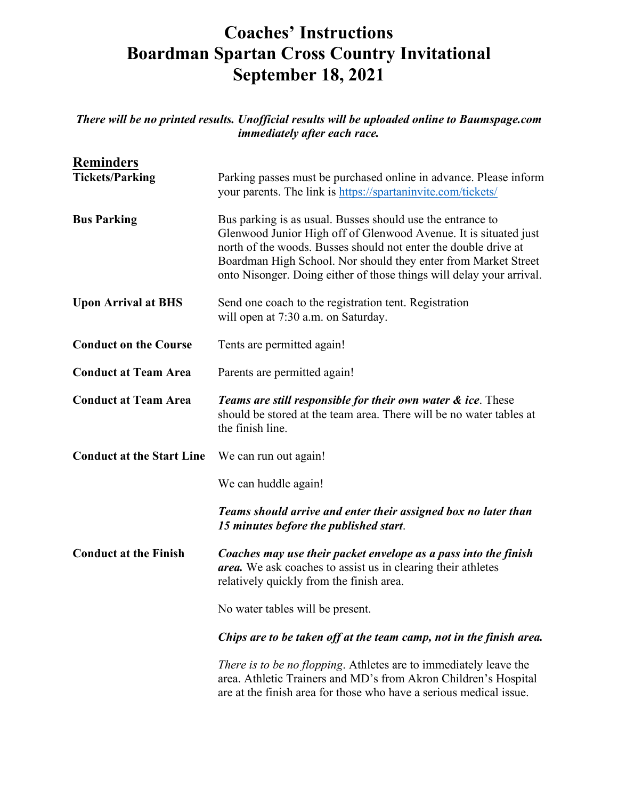## **Coaches' Instructions Boardman Spartan Cross Country Invitational September 18, 2021**

*There will be no printed results. Unofficial results will be uploaded online to Baumspage.com immediately after each race.*

| <b>Reminders</b>                 |                                                                                                                                                                                                                                                                                                                                             |
|----------------------------------|---------------------------------------------------------------------------------------------------------------------------------------------------------------------------------------------------------------------------------------------------------------------------------------------------------------------------------------------|
| <b>Tickets/Parking</b>           | Parking passes must be purchased online in advance. Please inform<br>your parents. The link is https://spartaninvite.com/tickets/                                                                                                                                                                                                           |
| <b>Bus Parking</b>               | Bus parking is as usual. Busses should use the entrance to<br>Glenwood Junior High off of Glenwood Avenue. It is situated just<br>north of the woods. Busses should not enter the double drive at<br>Boardman High School. Nor should they enter from Market Street<br>onto Nisonger. Doing either of those things will delay your arrival. |
| <b>Upon Arrival at BHS</b>       | Send one coach to the registration tent. Registration<br>will open at 7:30 a.m. on Saturday.                                                                                                                                                                                                                                                |
| <b>Conduct on the Course</b>     | Tents are permitted again!                                                                                                                                                                                                                                                                                                                  |
| <b>Conduct at Team Area</b>      | Parents are permitted again!                                                                                                                                                                                                                                                                                                                |
| <b>Conduct at Team Area</b>      | <b>Teams are still responsible for their own water &amp; ice.</b> These<br>should be stored at the team area. There will be no water tables at<br>the finish line.                                                                                                                                                                          |
| <b>Conduct at the Start Line</b> | We can run out again!                                                                                                                                                                                                                                                                                                                       |
|                                  | We can huddle again!                                                                                                                                                                                                                                                                                                                        |
|                                  | Teams should arrive and enter their assigned box no later than<br>15 minutes before the published start.                                                                                                                                                                                                                                    |
| <b>Conduct at the Finish</b>     | Coaches may use their packet envelope as a pass into the finish<br>area. We ask coaches to assist us in clearing their athletes<br>relatively quickly from the finish area.                                                                                                                                                                 |
|                                  | No water tables will be present.                                                                                                                                                                                                                                                                                                            |
|                                  | Chips are to be taken off at the team camp, not in the finish area.                                                                                                                                                                                                                                                                         |
|                                  | There is to be no flopping. Athletes are to immediately leave the<br>area. Athletic Trainers and MD's from Akron Children's Hospital<br>are at the finish area for those who have a serious medical issue.                                                                                                                                  |